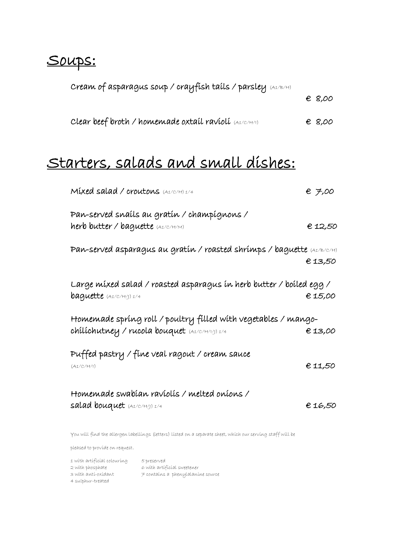# Soups:

| Cream of asparagus soup / crayfish tails / parsley (A1/B/H) |                 |
|-------------------------------------------------------------|-----------------|
|                                                             | € 8,00          |
| Clear beef broth / homemade oxtail ravioli (A1/C/H/I)       | $\epsilon$ 8,00 |
|                                                             |                 |

# Starters, salads and small dishes:

| Mixed salad / croutons (A1/C/H) 1/4                                              | € 7,00  |
|----------------------------------------------------------------------------------|---------|
| Pan-served snaíls au gratín / champígnons /                                      |         |
| herb butter / baguette (A1/C/H/M)                                                | € 12,50 |
| Pan-served asparagus au gratín / roasted shrímps / baguette $\mu_{\rm 4/ E/C/H}$ | € 13,50 |
| Large míxed salad / roasted asparagus ín herb butter / boíled egg /              |         |
| <b>baguette</b> (A1/C/H/J) 1/4                                                   | € 15,00 |
| Homemade spring roll / poultry filled with vegetables / mango-                   |         |
| chilichutney / rucola bouquet (A1/C/H/1/J) 1/4                                   | €13,00  |
| Puffed pastry / fine veal ragout / cream sauce                                   |         |
| (A1/C/H/l)                                                                       | € 11,50 |
| Homemade swabían ravíolís / melted oníons /                                      |         |
| salad bouquet $(A1/C/H)) 1/4$                                                    | €16,50  |
|                                                                                  |         |

You will find the allergen labellings (letters) listed on a separate sheet, which our serving staff will be

pleased to provide on request.

| 1 with artificial colouring | 5 preserved                       |
|-----------------------------|-----------------------------------|
| 2 with phosphate            | 6 with artificial sweetener       |
| 3 with anti-oxidant         | 7 contaíns a phenylalaníne source |
| 4 sulphur-treated           |                                   |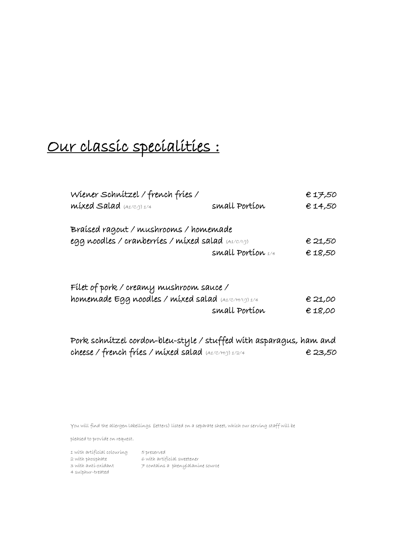# Our classic specialities :

| Wiener Schnitzel / french fries /                   |                     | €17,50  |
|-----------------------------------------------------|---------------------|---------|
| $mixed$ Salad $(A1/C/1)$ $1/4$                      | small Portion       | € 14,50 |
| Braísed ragout / mushrooms / homemade               |                     |         |
| egg noodles / cranberríes / míxed salad (A1/C/16)   |                     | € 21,50 |
|                                                     | small Portion $1/4$ | € 18,50 |
| Filet of pork / creany mushroom sauce /             |                     |         |
| homemade Egg noodles / mixed salad (A1/C/H/1/J) 1/4 |                     | € 21,00 |
|                                                     | small Portion       | €18,00  |
|                                                     |                     |         |

| Pork schnitzel cordon-bleu-style / stuffed with asparagus, ham and |  |         |
|--------------------------------------------------------------------|--|---------|
| cheese / french fries / mixed salad (A1/C/H/J) 1/2/4               |  | € 23,50 |

You will find the allergen labellings (letters) listed on a separate sheet, which our serving staff will be

pleased to provide on request.

1 with artificial colouring 5 preserved  $2$  with phosphate  $6$  with artificial sweetener 3 with anti-oxidant 7 contains a phenylalanine source 4 sulphur-treated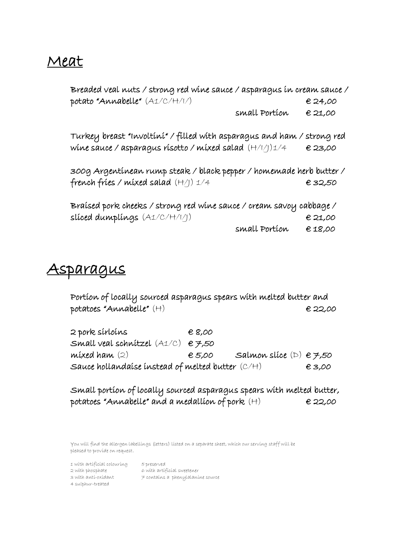## Meat

Breaded veal nuts / strong red wine sauce / asparagus in cream sauce / potato "Annabelle" (A1/C/H/I/) € 24,00 small Portion  $\epsilon$  21,00

Turkey breast "Involtini" / filled with asparagus and ham / strong red wine sauce / asparagus risotto / mixed salad (H/I/J)1/4 € 23,00

300g Argentinean rump steak / black pepper / homemade herb butter / french fries / mixed salad  $(H/))$  1/4  $\epsilon$  32,50

Braised pork cheeks / strong red wine sauce / cream savoy cabbage / sliced dumplings  $(A1/C/H/1))$   $\in$  21,00 small Portion  $\epsilon$  18,00

#### <u>Asparagus</u>

Portion of locally sourced asparagus spears with melted butter and  $potates 'Annabelle' (H)$   $\epsilon$  22,00

 $2$  pork sírloíns  $68,00$ Small veal schnitzel  $(A1/C)$   $\in \mathcal{F},50$ mixed ham  $(2)$   $\qquad \qquad \in 5,00$  Salmon slice  $(D) \in \mathcal{F},50$ Sauce hollandaise instead of melted butter  $(C/H)$   $\qquad \qquad \in \mathbf{3,00}$ 

Small portion of locally sourced asparagus spears with melted butter, potatoes "Annabelle" and a medallion of pork  $(H)$   $\epsilon$  22,00

You will find the allergen labellings (letters) listed on a separate sheet, which our serving staff will be pleased to provide on request.

1 with artificial colouring 5 preserved 2 with phosphate 6 with artificial sweetener  $3$  with anti-oxidant  $7$  contains a phenylalanine source 4 sulphur-treated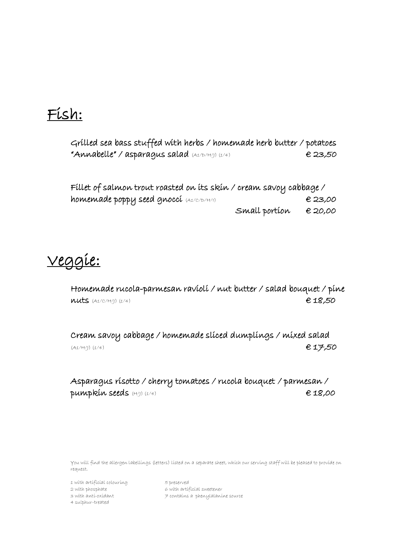## Fish:

Grilled sea bass stuffed with herbs / homemade herb butter / potatoes "Annabelle" / asparagus salad  $(A1/D/H_1)(A1/4)$   $\epsilon$  23,50

| Fillet of salmon trout roasted on its skin / cream savoy cabbage / |               |         |
|--------------------------------------------------------------------|---------------|---------|
| homemade poppy seed gnoccí (A1/C/D/H/1)                            |               | € 23,00 |
|                                                                    | Small portion | € 20,00 |

## Veggie:

Homemade rucola-parmesan ravioli / nut butter / salad bouquet / pine  $nuts$  (A1/C/H/J) (1/4)  $\epsilon$  18,50

Cream savoy cabbage / homemade sliced dumplings / mixed salad  $(A1/H))$  (1/4)  $A$  (A1/H/J) (1/4)

Asparagus risotto / cherry tomatoes / rucola bouquet / parmesan / pumpkin seeds  $(H_1)(1/4)$  e 18,00

You will find the allergen labellings (letters) listed on a separate sheet, which our serving staff will be pleased to provide on request.

1 with artificial colouring 5 preserved 2 with phosphate 6 with artificial sweetener 4 sulphur-treated

 $3$  with anti-oxidant  $\neq$  contains a phenylalanine source